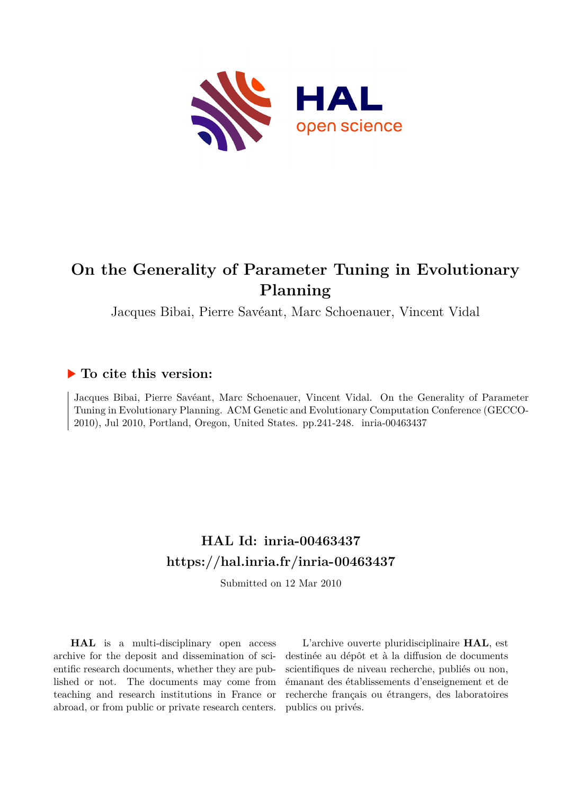

# **On the Generality of Parameter Tuning in Evolutionary Planning**

Jacques Bibai, Pierre Savéant, Marc Schoenauer, Vincent Vidal

### **To cite this version:**

Jacques Bibai, Pierre Savéant, Marc Schoenauer, Vincent Vidal. On the Generality of Parameter Tuning in Evolutionary Planning. ACM Genetic and Evolutionary Computation Conference (GECCO-2010), Jul 2010, Portland, Oregon, United States. pp. 241-248. inria-00463437

## **HAL Id: inria-00463437 <https://hal.inria.fr/inria-00463437>**

Submitted on 12 Mar 2010

**HAL** is a multi-disciplinary open access archive for the deposit and dissemination of scientific research documents, whether they are published or not. The documents may come from teaching and research institutions in France or abroad, or from public or private research centers.

L'archive ouverte pluridisciplinaire **HAL**, est destinée au dépôt et à la diffusion de documents scientifiques de niveau recherche, publiés ou non, émanant des établissements d'enseignement et de recherche français ou étrangers, des laboratoires publics ou privés.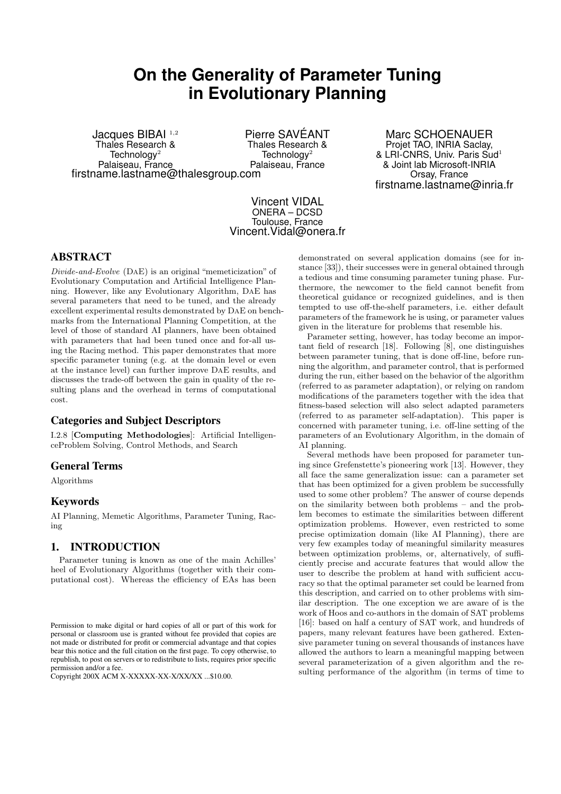### **On the Generality of Parameter Tuning in Evolutionary Planning**

Jacques BIBAI 1,2 Thales Research & Technology $^2$ Palaiseau, France firstname.lastname@thalesgroup.com Pierre SAVÉANT Thales Research & Technology $^2$ Palaiseau, France

Marc SCHOENAUER Projet TAO, INRIA Saclay, & LRI-CNRS, Univ. Paris Sud<sup>1</sup> & Joint lab Microsoft-INRIA Orsay, France firstname.lastname@inria.fr

Vincent VIDAL ONERA – DCSD Toulouse, France Vincent.Vidal@onera.fr

#### ABSTRACT

Divide-and-Evolve (DaE) is an original "memeticization" of Evolutionary Computation and Artificial Intelligence Planning. However, like any Evolutionary Algorithm, DaE has several parameters that need to be tuned, and the already excellent experimental results demonstrated by DaE on benchmarks from the International Planning Competition, at the level of those of standard AI planners, have been obtained with parameters that had been tuned once and for-all using the Racing method. This paper demonstrates that more specific parameter tuning (e.g. at the domain level or even at the instance level) can further improve DaE results, and discusses the trade-off between the gain in quality of the resulting plans and the overhead in terms of computational cost.

#### Categories and Subject Descriptors

I.2.8 [Computing Methodologies]: Artificial IntelligenceProblem Solving, Control Methods, and Search

#### General Terms

Algorithms

#### Keywords

AI Planning, Memetic Algorithms, Parameter Tuning, Racing

#### 1. INTRODUCTION

Parameter tuning is known as one of the main Achilles' heel of Evolutionary Algorithms (together with their computational cost). Whereas the efficiency of EAs has been

Copyright 200X ACM X-XXXXX-XX-X/XX/XX ...\$10.00.

demonstrated on several application domains (see for instance [33]), their successes were in general obtained through a tedious and time consuming parameter tuning phase. Furthermore, the newcomer to the field cannot benefit from theoretical guidance or recognized guidelines, and is then tempted to use off-the-shelf parameters, i.e. either default parameters of the framework he is using, or parameter values given in the literature for problems that resemble his.

Parameter setting, however, has today become an important field of research [18]. Following [8], one distinguishes between parameter tuning, that is done off-line, before running the algorithm, and parameter control, that is performed during the run, either based on the behavior of the algorithm (referred to as parameter adaptation), or relying on random modifications of the parameters together with the idea that fitness-based selection will also select adapted parameters (referred to as parameter self-adaptation). This paper is concerned with parameter tuning, i.e. off-line setting of the parameters of an Evolutionary Algorithm, in the domain of AI planning.

Several methods have been proposed for parameter tuning since Grefenstette's pioneering work [13]. However, they all face the same generalization issue: can a parameter set that has been optimized for a given problem be successfully used to some other problem? The answer of course depends on the similarity between both problems – and the problem becomes to estimate the similarities between different optimization problems. However, even restricted to some precise optimization domain (like AI Planning), there are very few examples today of meaningful similarity measures between optimization problems, or, alternatively, of sufficiently precise and accurate features that would allow the user to describe the problem at hand with sufficient accuracy so that the optimal parameter set could be learned from this description, and carried on to other problems with similar description. The one exception we are aware of is the work of Hoos and co-authors in the domain of SAT problems [16]: based on half a century of SAT work, and hundreds of papers, many relevant features have been gathered. Extensive parameter tuning on several thousands of instances have allowed the authors to learn a meaningful mapping between several parameterization of a given algorithm and the resulting performance of the algorithm (in terms of time to

Permission to make digital or hard copies of all or part of this work for personal or classroom use is granted without fee provided that copies are not made or distributed for profit or commercial advantage and that copies bear this notice and the full citation on the first page. To copy otherwise, to republish, to post on servers or to redistribute to lists, requires prior specific permission and/or a fee.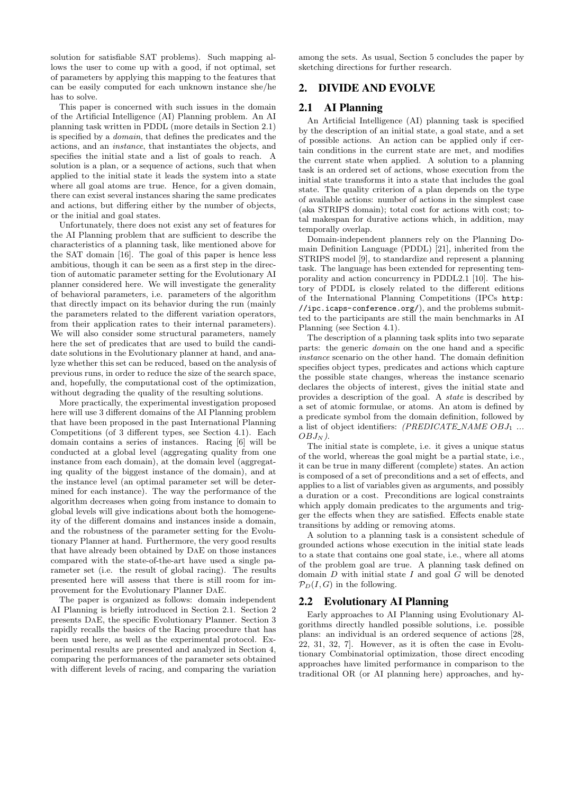solution for satisfiable SAT problems). Such mapping allows the user to come up with a good, if not optimal, set of parameters by applying this mapping to the features that can be easily computed for each unknown instance she/he has to solve.

This paper is concerned with such issues in the domain of the Artificial Intelligence (AI) Planning problem. An AI planning task written in PDDL (more details in Section 2.1) is specified by a domain, that defines the predicates and the actions, and an instance, that instantiates the objects, and specifies the initial state and a list of goals to reach. A solution is a plan, or a sequence of actions, such that when applied to the initial state it leads the system into a state where all goal atoms are true. Hence, for a given domain, there can exist several instances sharing the same predicates and actions, but differing either by the number of objects, or the initial and goal states.

Unfortunately, there does not exist any set of features for the AI Planning problem that are sufficient to describe the characteristics of a planning task, like mentioned above for the SAT domain [16]. The goal of this paper is hence less ambitious, though it can be seen as a first step in the direction of automatic parameter setting for the Evolutionary AI planner considered here. We will investigate the generality of behavioral parameters, i.e. parameters of the algorithm that directly impact on its behavior during the run (mainly the parameters related to the different variation operators, from their application rates to their internal parameters). We will also consider some structural parameters, namely here the set of predicates that are used to build the candidate solutions in the Evolutionary planner at hand, and analyze whether this set can be reduced, based on the analysis of previous runs, in order to reduce the size of the search space, and, hopefully, the computational cost of the optimization, without degrading the quality of the resulting solutions.

More practically, the experimental investigation proposed here will use 3 different domains of the AI Planning problem that have been proposed in the past International Planning Competitions (of 3 different types, see Section 4.1). Each domain contains a series of instances. Racing [6] will be conducted at a global level (aggregating quality from one instance from each domain), at the domain level (aggregating quality of the biggest instance of the domain), and at the instance level (an optimal parameter set will be determined for each instance). The way the performance of the algorithm decreases when going from instance to domain to global levels will give indications about both the homogeneity of the different domains and instances inside a domain, and the robustness of the parameter setting for the Evolutionary Planner at hand. Furthermore, the very good results that have already been obtained by DaE on those instances compared with the state-of-the-art have used a single parameter set (i.e. the result of global racing). The results presented here will assess that there is still room for improvement for the Evolutionary Planner DaE.

The paper is organized as follows: domain independent AI Planning is briefly introduced in Section 2.1. Section 2 presents DaE, the specific Evolutionary Planner. Section 3 rapidly recalls the basics of the Racing procedure that has been used here, as well as the experimental protocol. Experimental results are presented and analyzed in Section 4, comparing the performances of the parameter sets obtained with different levels of racing, and comparing the variation

among the sets. As usual, Section 5 concludes the paper by sketching directions for further research.

### 2. DIVIDE AND EVOLVE

#### 2.1 AI Planning

An Artificial Intelligence (AI) planning task is specified by the description of an initial state, a goal state, and a set of possible actions. An action can be applied only if certain conditions in the current state are met, and modifies the current state when applied. A solution to a planning task is an ordered set of actions, whose execution from the initial state transforms it into a state that includes the goal state. The quality criterion of a plan depends on the type of available actions: number of actions in the simplest case (aka STRIPS domain); total cost for actions with cost; total makespan for durative actions which, in addition, may temporally overlap.

Domain-independent planners rely on the Planning Domain Definition Language (PDDL) [21], inherited from the STRIPS model [9], to standardize and represent a planning task. The language has been extended for representing temporality and action concurrency in PDDL2.1 [10]. The history of PDDL is closely related to the different editions of the International Planning Competitions (IPCs http: //ipc.icaps-conference.org/), and the problems submitted to the participants are still the main benchmarks in AI Planning (see Section 4.1).

The description of a planning task splits into two separate parts: the generic domain on the one hand and a specific instance scenario on the other hand. The domain definition specifies object types, predicates and actions which capture the possible state changes, whereas the instance scenario declares the objects of interest, gives the initial state and provides a description of the goal. A state is described by a set of atomic formulae, or atoms. An atom is defined by a predicate symbol from the domain definition, followed by a list of object identifiers:  $(PREDICATE\_NAME OBJ_1 ...$  $OBJ_N$ ).

The initial state is complete, i.e. it gives a unique status of the world, whereas the goal might be a partial state, i.e., it can be true in many different (complete) states. An action is composed of a set of preconditions and a set of effects, and applies to a list of variables given as arguments, and possibly a duration or a cost. Preconditions are logical constraints which apply domain predicates to the arguments and trigger the effects when they are satisfied. Effects enable state transitions by adding or removing atoms.

A solution to a planning task is a consistent schedule of grounded actions whose execution in the initial state leads to a state that contains one goal state, i.e., where all atoms of the problem goal are true. A planning task defined on domain  $D$  with initial state  $I$  and goal  $G$  will be denoted  $\mathcal{P}_D(I, G)$  in the following.

#### 2.2 Evolutionary AI Planning

Early approaches to AI Planning using Evolutionary Algorithms directly handled possible solutions, i.e. possible plans: an individual is an ordered sequence of actions [28, 22, 31, 32, 7]. However, as it is often the case in Evolutionary Combinatorial optimization, those direct encoding approaches have limited performance in comparison to the traditional OR (or AI planning here) approaches, and hy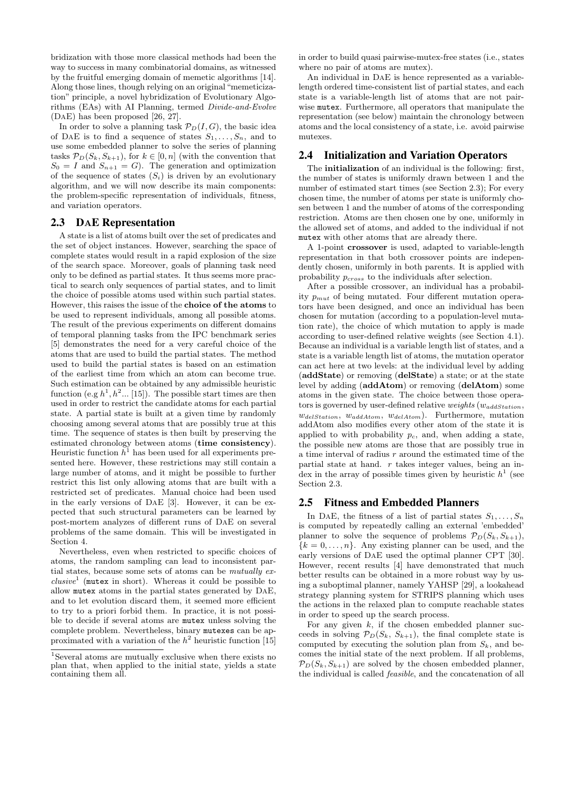bridization with those more classical methods had been the way to success in many combinatorial domains, as witnessed by the fruitful emerging domain of memetic algorithms [14]. Along those lines, though relying on an original "memeticization" principle, a novel hybridization of Evolutionary Algorithms (EAs) with AI Planning, termed Divide-and-Evolve (DaE) has been proposed [26, 27].

In order to solve a planning task  $\mathcal{P}_D(I, G)$ , the basic idea of DAE is to find a sequence of states  $S_1, \ldots, S_n$ , and to use some embedded planner to solve the series of planning tasks  $\mathcal{P}_D(S_k, S_{k+1})$ , for  $k \in [0, n]$  (with the convention that  $S_0 = I$  and  $S_{n+1} = G$ . The generation and optimization of the sequence of states  $(S_i)$  is driven by an evolutionary algorithm, and we will now describe its main components: the problem-specific representation of individuals, fitness, and variation operators.

#### 2.3 DAE Representation

A state is a list of atoms built over the set of predicates and the set of object instances. However, searching the space of complete states would result in a rapid explosion of the size of the search space. Moreover, goals of planning task need only to be defined as partial states. It thus seems more practical to search only sequences of partial states, and to limit the choice of possible atoms used within such partial states. However, this raises the issue of the choice of the atoms to be used to represent individuals, among all possible atoms. The result of the previous experiments on different domains of temporal planning tasks from the IPC benchmark series [5] demonstrates the need for a very careful choice of the atoms that are used to build the partial states. The method used to build the partial states is based on an estimation of the earliest time from which an atom can become true. Such estimation can be obtained by any admissible heuristic function (e.g  $h^1, h^2, \ldots$  [15]). The possible start times are then used in order to restrict the candidate atoms for each partial state. A partial state is built at a given time by randomly choosing among several atoms that are possibly true at this time. The sequence of states is then built by preserving the estimated chronology between atoms (time consistency). Heuristic function  $h^1$  has been used for all experiments presented here. However, these restrictions may still contain a large number of atoms, and it might be possible to further restrict this list only allowing atoms that are built with a restricted set of predicates. Manual choice had been used in the early versions of DaE [3]. However, it can be expected that such structural parameters can be learned by post-mortem analyzes of different runs of DaE on several problems of the same domain. This will be investigated in Section 4.

Nevertheless, even when restricted to specific choices of atoms, the random sampling can lead to inconsistent partial states, because some sets of atoms can be mutually ex $clusive<sup>1</sup>$  (mutex in short). Whereas it could be possible to allow mutex atoms in the partial states generated by DaE, and to let evolution discard them, it seemed more efficient to try to a priori forbid them. In practice, it is not possible to decide if several atoms are mutex unless solving the complete problem. Nevertheless, binary mutexes can be approximated with a variation of the  $h^2$  heuristic function [15]

in order to build quasi pairwise-mutex-free states (i.e., states where no pair of atoms are mutex).

An individual in DaE is hence represented as a variablelength ordered time-consistent list of partial states, and each state is a variable-length list of atoms that are not pairwise mutex. Furthermore, all operators that manipulate the representation (see below) maintain the chronology between atoms and the local consistency of a state, i.e. avoid pairwise mutexes.

#### 2.4 Initialization and Variation Operators

The **initialization** of an individual is the following: first, the number of states is uniformly drawn between 1 and the number of estimated start times (see Section 2.3); For every chosen time, the number of atoms per state is uniformly chosen between 1 and the number of atoms of the corresponding restriction. Atoms are then chosen one by one, uniformly in the allowed set of atoms, and added to the individual if not mutex with other atoms that are already there.

A 1-point crossover is used, adapted to variable-length representation in that both crossover points are independently chosen, uniformly in both parents. It is applied with probability  $p_{cross}$  to the individuals after selection.

After a possible crossover, an individual has a probability  $p_{mut}$  of being mutated. Four different mutation operators have been designed, and once an individual has been chosen for mutation (according to a population-level mutation rate), the choice of which mutation to apply is made according to user-defined relative weights (see Section 4.1). Because an individual is a variable length list of states, and a state is a variable length list of atoms, the mutation operator can act here at two levels: at the individual level by adding (addState) or removing (delState) a state; or at the state level by adding (addAtom) or removing (delAtom) some atoms in the given state. The choice between those operators is governed by user-defined relative weights  $(w_{addStation},$  $w_{delStation}$ ,  $w_{addAtom}$ ,  $w_{delAtom}$ ). Furthermore, mutation addAtom also modifies every other atom of the state it is applied to with probability  $p_c$ , and, when adding a state, the possible new atoms are those that are possibly true in a time interval of radius  $r$  around the estimated time of the partial state at hand.  $r$  takes integer values, being an index in the array of possible times given by heuristic  $h<sup>1</sup>$  (see Section 2.3.

#### 2.5 Fitness and Embedded Planners

In DAE, the fitness of a list of partial states  $S_1, \ldots, S_n$ is computed by repeatedly calling an external 'embedded' planner to solve the sequence of problems  $\mathcal{P}_D(S_k, S_{k+1}),$  ${k = 0, ..., n}$ . Any existing planner can be used, and the early versions of DaE used the optimal planner CPT [30]. However, recent results [4] have demonstrated that much better results can be obtained in a more robust way by using a suboptimal planner, namely YAHSP [29], a lookahead strategy planning system for STRIPS planning which uses the actions in the relaxed plan to compute reachable states in order to speed up the search process.

For any given  $k$ , if the chosen embedded planner succeeds in solving  $\mathcal{P}_D(S_k, S_{k+1})$ , the final complete state is computed by executing the solution plan from  $S_k$ , and becomes the initial state of the next problem. If all problems,  $\mathcal{P}_D(S_k, S_{k+1})$  are solved by the chosen embedded planner, the individual is called feasible, and the concatenation of all

<sup>1</sup>Several atoms are mutually exclusive when there exists no plan that, when applied to the initial state, yields a state containing them all.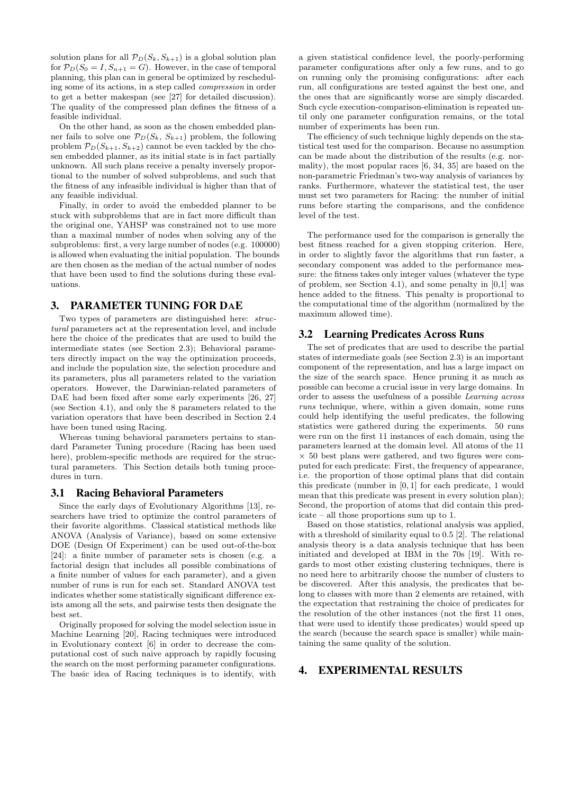solution plans for all  $\mathcal{P}_D(S_k, S_{k+1})$  is a global solution plan for  $\mathcal{P}_D(\overline{S_0} = I, S_{n+1} = G)$ . However, in the case of temporal planning, this plan can in general be optimized by rescheduling some of its actions, in a step called compression in order to get a better makespan (see [27] for detailed discussion). The quality of the compressed plan defines the fitness of a feasible individual.

On the other hand, as soon as the chosen embedded planner fails to solve one  $\mathcal{P}_D(S_k, S_{k+1})$  problem, the following problem  $\mathcal{P}_D(S_{k+1}, S_{k+2})$  cannot be even tackled by the chosen embedded planner, as its initial state is in fact partially unknown. All such plans receive a penalty inversely proportional to the number of solved subproblems, and such that the fitness of any infeasible individual is higher than that of any feasible individual.

Finally, in order to avoid the embedded planner to be stuck with subproblems that are in fact more difficult than the original one, YAHSP was constrained not to use more than a maximal number of nodes when solving any of the subproblems: first, a very large number of nodes (e.g. 100000) is allowed when evaluating the initial population. The bounds are then chosen as the median of the actual number of nodes that have been used to find the solutions during these evaluations.

#### 3. PARAMETER TUNING FOR DAE

Two types of parameters are distinguished here: structural parameters act at the representation level, and include here the choice of the predicates that are used to build the intermediate states (see Section 2.3); Behavioral parameters directly impact on the way the optimization proceeds, and include the population size, the selection procedure and its parameters, plus all parameters related to the variation operators. However, the Darwinian-related parameters of DaE had been fixed after some early experiments [26, 27] (see Section 4.1), and only the 8 parameters related to the variation operators that have been described in Section 2.4 have been tuned using Racing.

Whereas tuning behavioral parameters pertains to standard Parameter Tuning procedure (Racing has been used here), problem-specific methods are required for the structural parameters. This Section details both tuning procedures in turn.

#### 3.1 Racing Behavioral Parameters

Since the early days of Evolutionary Algorithms [13], researchers have tried to optimize the control parameters of their favorite algorithms. Classical statistical methods like ANOVA (Analysis of Variance), based on some extensive DOE (Design Of Experiment) can be used out-of-the-box [24]: a finite number of parameter sets is chosen (e.g. a factorial design that includes all possible combinations of a finite number of values for each parameter), and a given number of runs is run for each set. Standard ANOVA test indicates whether some statistically significant difference exists among all the sets, and pairwise tests then designate the best set.

Originally proposed for solving the model selection issue in Machine Learning [20], Racing techniques were introduced in Evolutionary context [6] in order to decrease the computational cost of such naive approach by rapidly focusing the search on the most performing parameter configurations. The basic idea of Racing techniques is to identify, with

a given statistical confidence level, the poorly-performing parameter configurations after only a few runs, and to go on running only the promising configurations: after each run, all configurations are tested against the best one, and the ones that are significantly worse are simply discarded. Such cycle execution-comparison-elimination is repeated until only one parameter configuration remains, or the total number of experiments has been run.

The efficiency of such technique highly depends on the statistical test used for the comparison. Because no assumption can be made about the distribution of the results (e.g. normality), the most popular races [6, 34, 35] are based on the non-parametric Friedman's two-way analysis of variances by ranks. Furthermore, whatever the statistical test, the user must set two parameters for Racing: the number of initial runs before starting the comparisons, and the confidence level of the test.

The performance used for the comparison is generally the best fitness reached for a given stopping criterion. Here, in order to slightly favor the algorithms that run faster, a secondary component was added to the performance measure: the fitness takes only integer values (whatever the type of problem, see Section 4.1), and some penalty in [0,1] was hence added to the fitness. This penalty is proportional to the computational time of the algorithm (normalized by the maximum allowed time).

#### 3.2 Learning Predicates Across Runs

The set of predicates that are used to describe the partial states of intermediate goals (see Section 2.3) is an important component of the representation, and has a large impact on the size of the search space. Hence pruning it as much as possible can become a crucial issue in very large domains. In order to assess the usefulness of a possible Learning across runs technique, where, within a given domain, some runs could help identifying the useful predicates, the following statistics were gathered during the experiments. 50 runs were run on the first 11 instances of each domain, using the parameters learned at the domain level. All atoms of the 11  $\times$  50 best plans were gathered, and two figures were computed for each predicate: First, the frequency of appearance, i.e. the proportion of those optimal plans that did contain this predicate (number in [0, 1] for each predicate, 1 would mean that this predicate was present in every solution plan); Second, the proportion of atoms that did contain this predicate – all those proportions sum up to 1.

Based on those statistics, relational analysis was applied, with a threshold of similarity equal to 0.5 [2]. The relational analysis theory is a data analysis technique that has been initiated and developed at IBM in the 70s [19]. With regards to most other existing clustering techniques, there is no need here to arbitrarily choose the number of clusters to be discovered. After this analysis, the predicates that belong to classes with more than 2 elements are retained, with the expectation that restraining the choice of predicates for the resolution of the other instances (not the first 11 ones, that were used to identify those predicates) would speed up the search (because the search space is smaller) while maintaining the same quality of the solution.

#### 4. EXPERIMENTAL RESULTS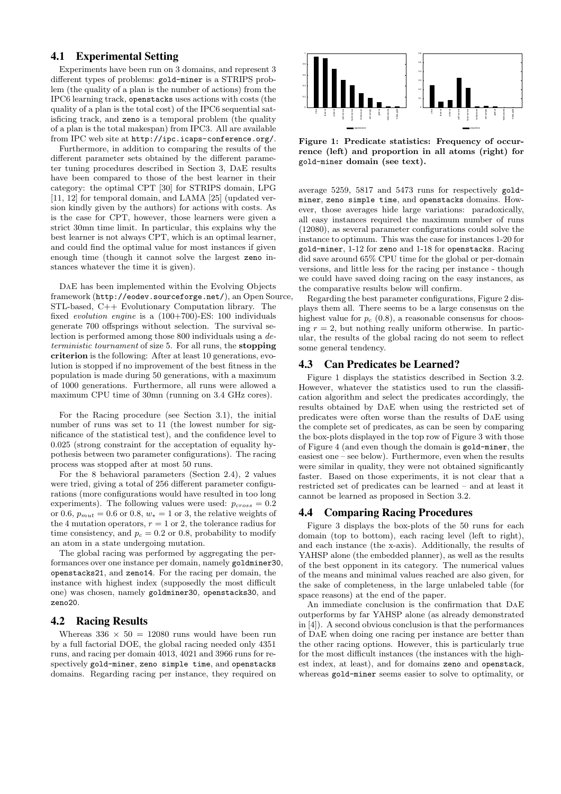#### 4.1 Experimental Setting

Experiments have been run on 3 domains, and represent 3 different types of problems: gold-miner is a STRIPS problem (the quality of a plan is the number of actions) from the IPC6 learning track, openstacks uses actions with costs (the quality of a plan is the total cost) of the IPC6 sequential satisficing track, and zeno is a temporal problem (the quality of a plan is the total makespan) from IPC3. All are available from IPC web site at http://ipc.icaps-conference.org/.

Furthermore, in addition to comparing the results of the different parameter sets obtained by the different parameter tuning procedures described in Section 3, DaE results have been compared to those of the best learner in their category: the optimal CPT [30] for STRIPS domain, LPG [11, 12] for temporal domain, and LAMA [25] (updated version kindly given by the authors) for actions with costs. As is the case for CPT, however, those learners were given a strict 30mn time limit. In particular, this explains why the best learner is not always CPT, which is an optimal learner, and could find the optimal value for most instances if given enough time (though it cannot solve the largest zeno instances whatever the time it is given).

DaE has been implemented within the Evolving Objects framework (http://eodev.sourceforge.net/), an Open Source, STL-based, C++ Evolutionary Computation library. The fixed evolution engine is a (100+700)-ES: 100 individuals generate 700 offsprings without selection. The survival selection is performed among those 800 individuals using a deterministic tournament of size 5. For all runs, the stopping criterion is the following: After at least 10 generations, evolution is stopped if no improvement of the best fitness in the population is made during 50 generations, with a maximum of 1000 generations. Furthermore, all runs were allowed a maximum CPU time of 30mn (running on 3.4 GHz cores).

For the Racing procedure (see Section 3.1), the initial number of runs was set to 11 (the lowest number for significance of the statistical test), and the confidence level to 0.025 (strong constraint for the acceptation of equality hypothesis between two parameter configurations). The racing process was stopped after at most 50 runs.

For the 8 behavioral parameters (Section 2.4), 2 values were tried, giving a total of 256 different parameter configurations (more configurations would have resulted in too long experiments). The following values were used:  $p_{cross} = 0.2$ or 0.6,  $p_{mut} = 0.6$  or 0.8,  $w_* = 1$  or 3, the relative weights of the 4 mutation operators,  $r = 1$  or 2, the tolerance radius for time consistency, and  $p_c = 0.2$  or 0.8, probability to modify an atom in a state undergoing mutation.

The global racing was performed by aggregating the performances over one instance per domain, namely goldminer30, openstacks21, and zeno14. For the racing per domain, the instance with highest index (supposedly the most difficult one) was chosen, namely goldminer30, openstacks30, and zeno20.

#### 4.2 Racing Results

Whereas  $336 \times 50 = 12080$  runs would have been run by a full factorial DOE, the global racing needed only 4351 runs, and racing per domain 4013, 4021 and 3966 runs for respectively gold-miner, zeno simple time, and openstacks domains. Regarding racing per instance, they required on



Figure 1: Predicate statistics: Frequency of occurrence (left) and proportion in all atoms (right) for gold-miner domain (see text).

average 5259, 5817 and 5473 runs for respectively goldminer, zeno simple time, and openstacks domains. However, those averages hide large variations: paradoxically, all easy instances required the maximum number of runs (12080), as several parameter configurations could solve the instance to optimum. This was the case for instances 1-20 for gold-miner, 1-12 for zeno and 1-18 for openstacks. Racing did save around 65% CPU time for the global or per-domain versions, and little less for the racing per instance - though we could have saved doing racing on the easy instances, as the comparative results below will confirm.

Regarding the best parameter configurations, Figure 2 displays them all. There seems to be a large consensus on the highest value for  $p_c$  (0.8), a reasonable consensus for choosing  $r = 2$ , but nothing really uniform otherwise. In particular, the results of the global racing do not seem to reflect some general tendency.

#### 4.3 Can Predicates be Learned?

Figure 1 displays the statistics described in Section 3.2. However, whatever the statistics used to run the classification algorithm and select the predicates accordingly, the results obtained by DaE when using the restricted set of predicates were often worse than the results of DaE using the complete set of predicates, as can be seen by comparing the box-plots displayed in the top row of Figure 3 with those of Figure 4 (and even though the domain is gold-miner, the easiest one – see below). Furthermore, even when the results were similar in quality, they were not obtained significantly faster. Based on those experiments, it is not clear that a restricted set of predicates can be learned – and at least it cannot be learned as proposed in Section 3.2.

#### 4.4 Comparing Racing Procedures

Figure 3 displays the box-plots of the 50 runs for each domain (top to bottom), each racing level (left to right), and each instance (the x-axis). Additionally, the results of YAHSP alone (the embedded planner), as well as the results of the best opponent in its category. The numerical values of the means and minimal values reached are also given, for the sake of completeness, in the large unlabeled table (for space reasons) at the end of the paper.

An immediate conclusion is the confirmation that DaE outperforms by far YAHSP alone (as already demonstrated in [4]). A second obvious conclusion is that the performances of DaE when doing one racing per instance are better than the other racing options. However, this is particularly true for the most difficult instances (the instances with the highest index, at least), and for domains zeno and openstack, whereas gold-miner seems easier to solve to optimality, or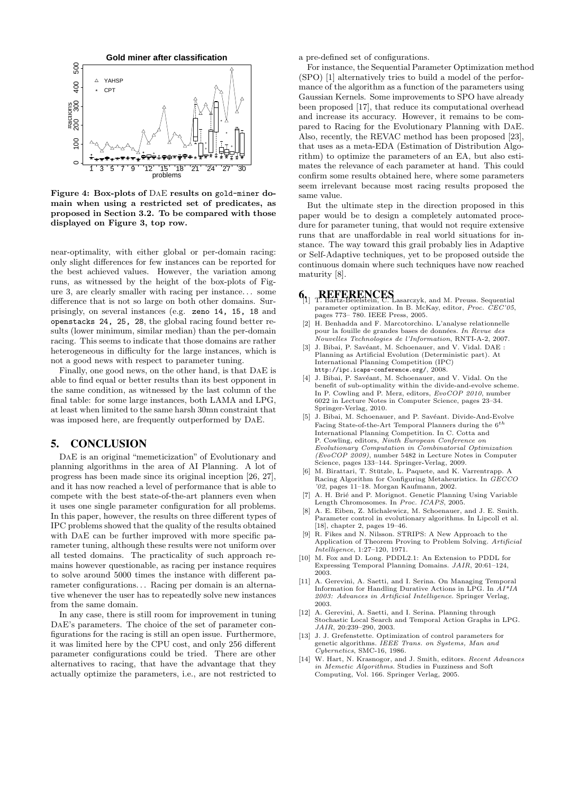

Figure 4: Box-plots of DaE results on gold-miner domain when using a restricted set of predicates, as proposed in Section 3.2. To be compared with those displayed on Figure 3, top row.

near-optimality, with either global or per-domain racing: only slight differences for few instances can be reported for the best achieved values. However, the variation among runs, as witnessed by the height of the box-plots of Figure 3, are clearly smaller with racing per instance. . . some difference that is not so large on both other domains. Surprisingly, on several instances (e.g. zeno 14, 15, 18 and openstacks 24, 25, 28, the global racing found better results (lower minimum, similar median) than the per-domain racing. This seems to indicate that those domains are rather heterogeneous in difficulty for the large instances, which is not a good news with respect to parameter tuning.

Finally, one good news, on the other hand, is that DaE is able to find equal or better results than its best opponent in the same condition, as witnessed by the last column of the final table: for some large instances, both LAMA and LPG, at least when limited to the same harsh 30mn constraint that was imposed here, are frequently outperformed by DaE.

#### 5. CONCLUSION

DaE is an original "memeticization" of Evolutionary and planning algorithms in the area of AI Planning. A lot of progress has been made since its original inception [26, 27], and it has now reached a level of performance that is able to compete with the best state-of-the-art planners even when it uses one single parameter configuration for all problems. In this paper, however, the results on three different types of IPC problems showed that the quality of the results obtained with DaE can be further improved with more specific parameter tuning, although these results were not uniform over all tested domains. The practicality of such approach remains however questionable, as racing per instance requires to solve around 5000 times the instance with different parameter configurations... Racing per domain is an alternative whenever the user has to repeatedly solve new instances from the same domain.

In any case, there is still room for improvement in tuning DaE's parameters. The choice of the set of parameter configurations for the racing is still an open issue. Furthermore, it was limited here by the CPU cost, and only 256 different parameter configurations could be tried. There are other alternatives to racing, that have the advantage that they actually optimize the parameters, i.e., are not restricted to a pre-defined set of configurations.

For instance, the Sequential Parameter Optimization method (SPO) [1] alternatively tries to build a model of the performance of the algorithm as a function of the parameters using Gaussian Kernels. Some improvements to SPO have already been proposed [17], that reduce its computational overhead and increase its accuracy. However, it remains to be compared to Racing for the Evolutionary Planning with DaE. Also, recently, the REVAC method has been proposed [23], that uses as a meta-EDA (Estimation of Distribution Algorithm) to optimize the parameters of an EA, but also estimates the relevance of each parameter at hand. This could confirm some results obtained here, where some parameters seem irrelevant because most racing results proposed the same value.

But the ultimate step in the direction proposed in this paper would be to design a completely automated procedure for parameter tuning, that would not require extensive runs that are unaffordable in real world situations for instance. The way toward this grail probably lies in Adaptive or Self-Adaptive techniques, yet to be proposed outside the continuous domain where such techniques have now reached maturity [8].

- $6<sub>11</sub>$  REFERENCES [1] T. Bartz-Beleistein, C. Lasarczyk, and M. Preuss. Sequential parameter optimization. In B. McKay, editor, *Proc. CEC'05*, pages 773– 780. IEEE Press, 2005.
- [2] H. Benhadda and F. Marcotorchino. L'analyse relationnelle pour la fouille de grandes bases de données. In Revue des Nouvelles Technologies de l'Information, RNTI-A-2, 2007.
- [3] J. Bibai, P. Savéant, M. Schoenauer, and V. Vidal. DAE : Planning as Artificial Evolution (Deterministic part). At International Planning Competition (IPC) http://ipc.icaps-conference.org/, 2008.
- [4] J. Bibai, P. Savéant, M. Schoenauer, and V. Vidal. On the benefit of sub-optimality within the divide-and-evolve scheme. In P. Cowling and P. Merz, editors, EvoCOP 2010, number 6022 in Lecture Notes in Computer Science, pages 23–34. Springer-Verlag, 2010.
- [5] J. Bibai, M. Schoenauer, and P. Savéant. Divide-And-Evolve Facing State-of-the-Art Temporal Planners during the  $6^{th}$ International Planning Competition. In C. Cotta and P. Cowling, editors, Ninth European Conference on Evolutionary Computation in Combinatorial Optimization (EvoCOP 2009), number 5482 in Lecture Notes in Computer Science, pages 133–144. Springer-Verlag, 2009.
- [6] M. Birattari, T. Stutzle, L. Paquete, and K. Varrentrapp. A ¨ Racing Algorithm for Configuring Metaheuristics. In GECCO '02, pages 11–18. Morgan Kaufmann, 2002.
- A. H. Brié and P. Morignot. Genetic Planning Using Variable Length Chromosomes. In Proc. ICAPS, 2005.
- [8] A. E. Eiben, Z. Michalewicz, M. Schoenauer, and J. E. Smith. Parameter control in evolutionary algorithms. In Lipcoll et al. [18], chapter 2, pages 19–46.
- [9] R. Fikes and N. Nilsson. STRIPS: A New Approach to the Application of Theorem Proving to Problem Solving. Artificial Intelligence, 1:27–120, 1971.
- [10] M. Fox and D. Long. PDDL2.1: An Extension to PDDL for Expressing Temporal Planning Domains. JAIR, 20:61–124, 2003.
- [11] A. Gerevini, A. Saetti, and I. Serina. On Managing Temporal Information for Handling Durative Actions in LPG. In AI\*IA 2003: Advances in Artificial Intelligence. Springer Verlag, 2003.
- [12] A. Gerevini, A. Saetti, and I. Serina. Planning through Stochastic Local Search and Temporal Action Graphs in LPG. JAIR, 20:239–290, 2003.
- [13] J. J. Grefenstette. Optimization of control parameters for genetic algorithms. IEEE Trans. on Systems, Man and Cybernetics, SMC-16, 1986.
- [14] W. Hart, N. Krasnogor, and J. Smith, editors. Recent Advances in Memetic Algorithms. Studies in Fuzziness and Soft Computing, Vol. 166. Springer Verlag, 2005.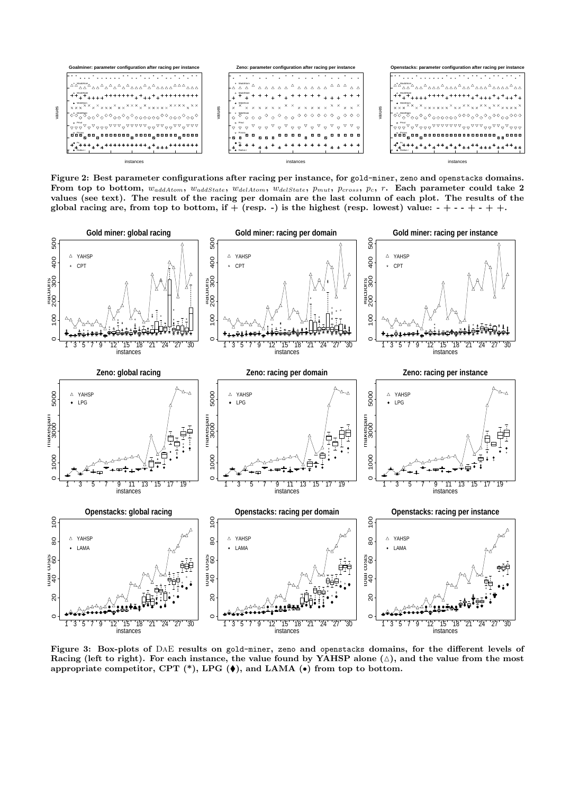

Figure 2: Best parameter configurations after racing per instance, for gold-miner, zeno and openstacks domains. From top to bottom,  $w_{addAtom}$ ,  $w_{addState}$ ,  $w_{delAtom}$ ,  $w_{delState}$ ,  $p_{mut}$ ,  $p_{cross}$ ,  $p_c$ ,  $r$ . Each parameter could take 2 values (see text). The result of the racing per domain are the last column of each plot. The results of the global racing are, from top to bottom, if  $+$  (resp. -) is the highest (resp. lowest) value:  $- + - - + - + + +$ .



Figure 3: Box-plots of DaE results on gold-miner, zeno and openstacks domains, for the different levels of Racing (left to right). For each instance, the value found by YAHSP alone  $(\triangle)$ , and the value from the most appropriate competitor, CPT  $(*)$ , LPG  $(*)$ , and LAMA  $(*)$  from top to bottom.